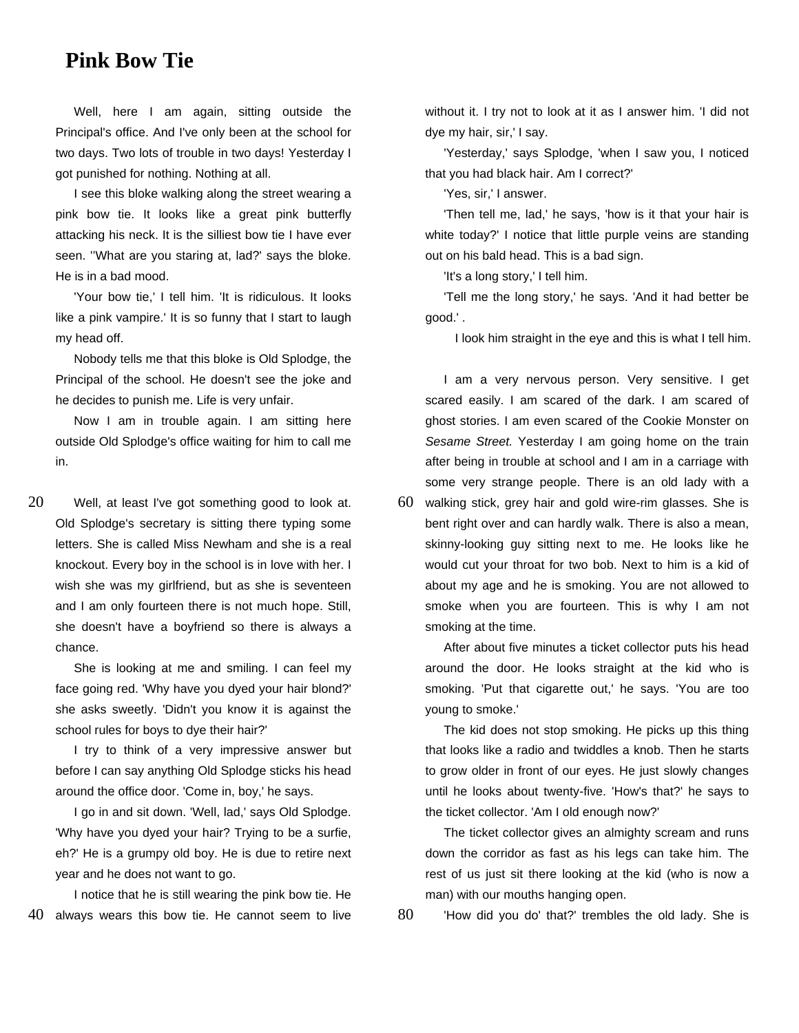## **Pink Bow Tie**

Well, here I am again, sitting outside the Principal's office. And I've only been at the school for two days. Two lots of trouble in two days! Yesterday I got punished for nothing. Nothing at all.

I see this bloke walking along the street wearing a pink bow tie. It looks like a great pink butterfly attacking his neck. It is the silliest bow tie I have ever seen. ''What are you staring at, lad?' says the bloke. He is in a bad mood.

'Your bow tie,' I tell him. 'It is ridiculous. It looks like a pink vampire.' It is so funny that I start to laugh my head off.

Nobody tells me that this bloke is Old Splodge, the Principal of the school. He doesn't see the joke and he decides to punish me. Life is very unfair.

Now I am in trouble again. I am sitting here outside Old Splodge's office waiting for him to call me in.

20 Well, at least I've got something good to look at. Old Splodge's secretary is sitting there typing some letters. She is called Miss Newham and she is a real knockout. Every boy in the school is in love with her. I wish she was my girlfriend, but as she is seventeen and I am only fourteen there is not much hope. Still, she doesn't have a boyfriend so there is always a chance.

She is looking at me and smiling. I can feel my face going red. 'Why have you dyed your hair blond?' she asks sweetly. 'Didn't you know it is against the school rules for boys to dye their hair?'

I try to think of a very impressive answer but before I can say anything Old Splodge sticks his head around the office door. 'Come in, boy,' he says.

I go in and sit down. 'Well, lad,' says Old Splodge. 'Why have you dyed your hair? Trying to be a surfie, eh?' He is a grumpy old boy. He is due to retire next year and he does not want to go.

I notice that he is still wearing the pink bow tie. He 40 always wears this bow tie. He cannot seem to live without it. I try not to look at it as I answer him. 'I did not dye my hair, sir,' I say.

'Yesterday,' says Splodge, 'when I saw you, I noticed that you had black hair. Am I correct?'

'Yes, sir,' I answer.

'Then tell me, lad,' he says, 'how is it that your hair is white today?' I notice that little purple veins are standing out on his bald head. This is a bad sign.

'It's a long story,' I tell him.

'Tell me the long story,' he says. 'And it had better be good.' .

I look him straight in the eye and this is what I tell him.

I am a very nervous person. Very sensitive. I get scared easily. I am scared of the dark. I am scared of ghost stories. I am even scared of the Cookie Monster on Sesame Street. Yesterday I am going home on the train after being in trouble at school and I am in a carriage with some very strange people. There is an old lady with a

60 walking stick, grey hair and gold wire-rim glasses. She is bent right over and can hardly walk. There is also a mean, skinny-looking guy sitting next to me. He looks like he would cut your throat for two bob. Next to him is a kid of about my age and he is smoking. You are not allowed to smoke when you are fourteen. This is why I am not smoking at the time.

After about five minutes a ticket collector puts his head around the door. He looks straight at the kid who is smoking. 'Put that cigarette out,' he says. 'You are too young to smoke.'

The kid does not stop smoking. He picks up this thing that looks like a radio and twiddles a knob. Then he starts to grow older in front of our eyes. He just slowly changes until he looks about twenty-five. 'How's that?' he says to the ticket collector. 'Am I old enough now?'

The ticket collector gives an almighty scream and runs down the corridor as fast as his legs can take him. The rest of us just sit there looking at the kid (who is now a man) with our mouths hanging open.

80 'How did you do' that?' trembles the old lady. She is